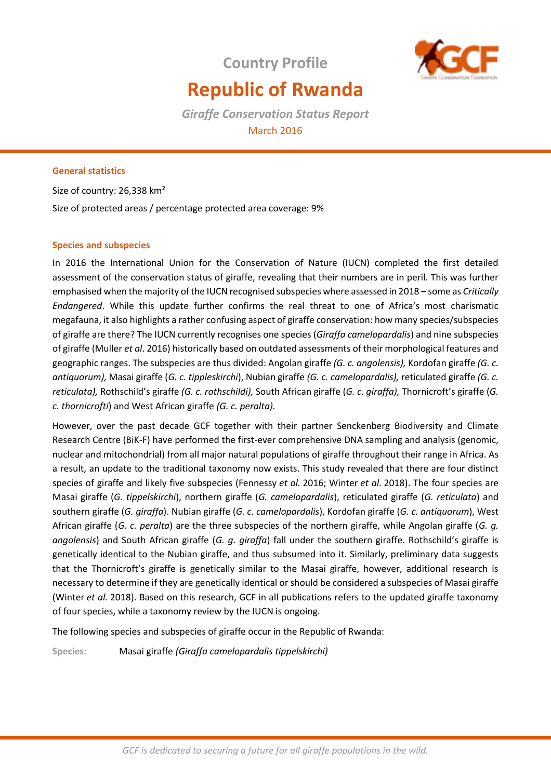

# **Republic of Rwanda**

**Country Profile**

*Giraffe Conservation Status Report*  March 2016

# **General statistics**

Size of country: 26,338 km² Size of protected areas / percentage protected area coverage: 9%

# **Species and subspecies**

In 2016 the International Union for the Conservation of Nature (IUCN) completed the first detailed assessment of the conservation status of giraffe, revealing that their numbers are in peril. This was further emphasised when the majority of the IUCN recognised subspecies where assessed in 2018 – some as *Critically Endangered*. While this update further confirms the real threat to one of Africa's most charismatic megafauna, it also highlights a rather confusing aspect of giraffe conservation: how many species/subspecies of giraffe are there? The IUCN currently recognises one species (*Giraffa camelopardalis*) and nine subspecies of giraffe (Muller *et al*. 2016) historically based on outdated assessments of their morphological features and geographic ranges. The subspecies are thus divided: Angolan giraffe *(G. c. angolensis),* Kordofan giraffe *(G. c. antiquorum),* Masai giraffe (*G. c. tippleskirchi*), Nubian giraffe *(G. c. camelopardalis),* reticulated giraffe *(G. c. reticulata),* Rothschild's giraffe *(G. c. rothschildi),* South African giraffe (*G. c*. *giraffa),* Thornicroft's giraffe (*G. c. thornicrofti*) and West African giraffe *(G. c. peralta).* 

However, over the past decade GCF together with their partner Senckenberg Biodiversity and Climate Research Centre (BiK-F) have performed the first-ever comprehensive DNA sampling and analysis (genomic, nuclear and mitochondrial) from all major natural populations of giraffe throughout their range in Africa. As a result, an update to the traditional taxonomy now exists. This study revealed that there are four distinct species of giraffe and likely five subspecies (Fennessy *et al.* 2016; Winter *et al.* 2018). The four species are Masai giraffe (*G. tippelskirchi*), northern giraffe (*G. camelopardalis*), reticulated giraffe (*G. reticulata*) and southern giraffe (*G. giraffa*). Nubian giraffe (*G. c. camelopardalis*), Kordofan giraffe (*G. c. antiquorum*), West African giraffe (*G. c. peralta*) are the three subspecies of the northern giraffe, while Angolan giraffe (*G. g. angolensis*) and South African giraffe (*G. g. giraffa*) fall under the southern giraffe. Rothschild's giraffe is genetically identical to the Nubian giraffe, and thus subsumed into it. Similarly, preliminary data suggests that the Thornicroft's giraffe is genetically similar to the Masai giraffe, however, additional research is necessary to determine if they are genetically identical or should be considered a subspecies of Masai giraffe (Winter *et al.* 2018). Based on this research, GCF in all publications refers to the updated giraffe taxonomy of four species, while a taxonomy review by the IUCN is ongoing.

The following species and subspecies of giraffe occur in the Republic of Rwanda:

**Species:** Masai giraffe *(Giraffa camelopardalis tippelskirchi)*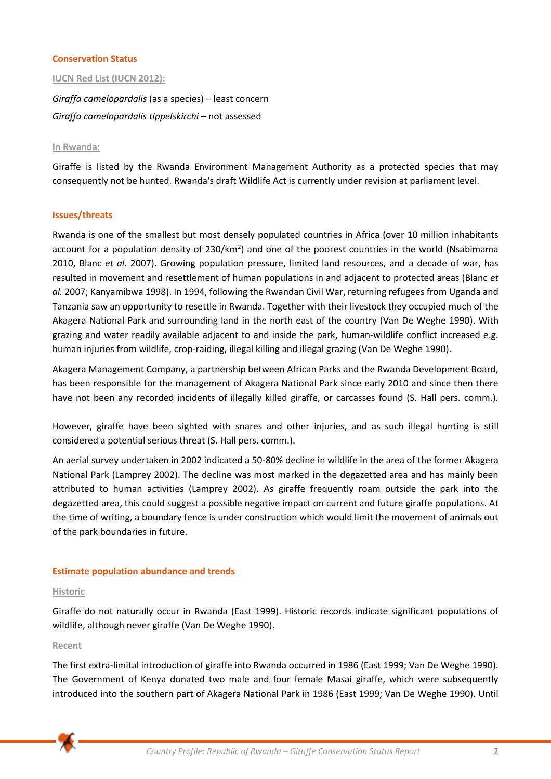# **Conservation Status**

## **IUCN Red List (IUCN 2012):**

*Giraffa camelopardalis* (as a species) – least concern *Giraffa camelopardalis tippelskirchi –* not assessed

#### **In Rwanda:**

Giraffe is listed by the Rwanda Environment Management Authority as a protected species that may consequently not be hunted. Rwanda's draft Wildlife Act is currently under revision at parliament level.

#### **Issues/threats**

Rwanda is one of the smallest but most densely populated countries in Africa (over 10 million inhabitants account for a population density of 230/km<sup>2</sup>) and one of the poorest countries in the world (Nsabimama 2010, Blanc *et al.* 2007). Growing population pressure, limited land resources, and a decade of war, has resulted in movement and resettlement of human populations in and adjacent to protected areas (Blanc *et al.* 2007; Kanyamibwa 1998). In 1994, following the Rwandan Civil War, returning refugees from Uganda and Tanzania saw an opportunity to resettle in Rwanda. Together with their livestock they occupied much of the Akagera National Park and surrounding land in the north east of the country (Van De Weghe 1990). With grazing and water readily available adjacent to and inside the park, human-wildlife conflict increased e.g. human injuries from wildlife, crop-raiding, illegal killing and illegal grazing (Van De Weghe 1990).

Akagera Management Company, a partnership between African Parks and the Rwanda Development Board, has been responsible for the management of Akagera National Park since early 2010 and since then there have not been any recorded incidents of illegally killed giraffe, or carcasses found (S. Hall pers. comm.).

However, giraffe have been sighted with snares and other injuries, and as such illegal hunting is still considered a potential serious threat (S. Hall pers. comm.).

An aerial survey undertaken in 2002 indicated a 50-80% decline in wildlife in the area of the former Akagera National Park (Lamprey 2002). The decline was most marked in the degazetted area and has mainly been attributed to human activities (Lamprey 2002). As giraffe frequently roam outside the park into the degazetted area, this could suggest a possible negative impact on current and future giraffe populations. At the time of writing, a boundary fence is under construction which would limit the movement of animals out of the park boundaries in future.

#### **Estimate population abundance and trends**

#### **Historic**

Giraffe do not naturally occur in Rwanda (East 1999). Historic records indicate significant populations of wildlife, although never giraffe (Van De Weghe 1990).

# **Recent**

The first extra-limital introduction of giraffe into Rwanda occurred in 1986 (East 1999; Van De Weghe 1990). The Government of Kenya donated two male and four female Masai giraffe, which were subsequently introduced into the southern part of Akagera National Park in 1986 (East 1999; Van De Weghe 1990). Until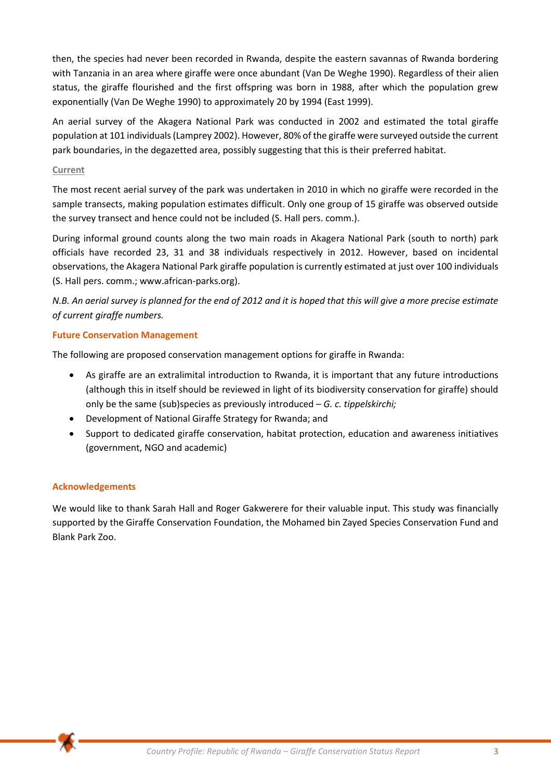then, the species had never been recorded in Rwanda, despite the eastern savannas of Rwanda bordering with Tanzania in an area where giraffe were once abundant (Van De Weghe 1990). Regardless of their alien status, the giraffe flourished and the first offspring was born in 1988, after which the population grew exponentially (Van De Weghe 1990) to approximately 20 by 1994 (East 1999).

An aerial survey of the Akagera National Park was conducted in 2002 and estimated the total giraffe population at 101 individuals (Lamprey 2002). However, 80% of the giraffe were surveyed outside the current park boundaries, in the degazetted area, possibly suggesting that this is their preferred habitat.

# **Current**

The most recent aerial survey of the park was undertaken in 2010 in which no giraffe were recorded in the sample transects, making population estimates difficult. Only one group of 15 giraffe was observed outside the survey transect and hence could not be included (S. Hall pers. comm.).

During informal ground counts along the two main roads in Akagera National Park (south to north) park officials have recorded 23, 31 and 38 individuals respectively in 2012. However, based on incidental observations, the Akagera National Park giraffe population is currently estimated at just over 100 individuals (S. Hall pers. comm.; www.african-parks.org).

*N.B. An aerial survey is planned for the end of 2012 and it is hoped that this will give a more precise estimate of current giraffe numbers.* 

# **Future Conservation Management**

The following are proposed conservation management options for giraffe in Rwanda:

- As giraffe are an extralimital introduction to Rwanda, it is important that any future introductions (although this in itself should be reviewed in light of its biodiversity conservation for giraffe) should only be the same (sub)species as previously introduced – *G. c. tippelskirchi;*
- Development of National Giraffe Strategy for Rwanda; and
- Support to dedicated giraffe conservation, habitat protection, education and awareness initiatives (government, NGO and academic)

# **Acknowledgements**

We would like to thank Sarah Hall and Roger Gakwerere for their valuable input. This study was financially supported by the Giraffe Conservation Foundation, the Mohamed bin Zayed Species Conservation Fund and Blank Park Zoo.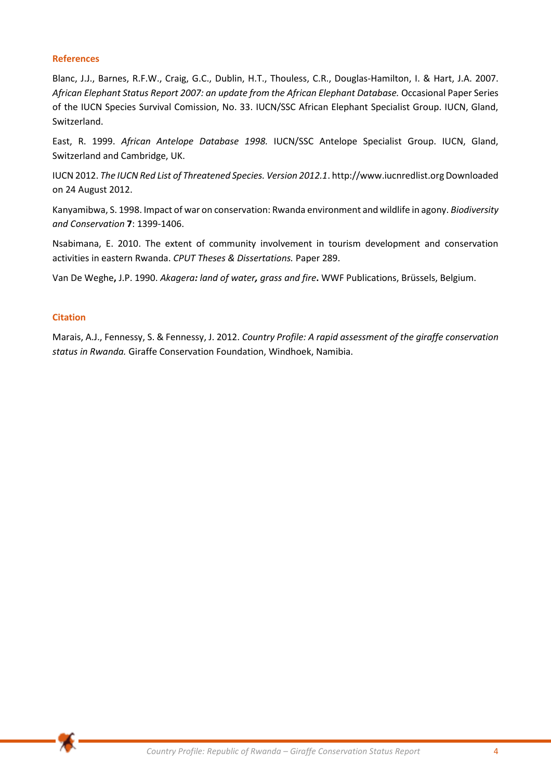## **References**

Blanc, J.J., Barnes, R.F.W., Craig, G.C., Dublin, H.T., Thouless, C.R., Douglas-Hamilton, I. & Hart, J.A. 2007. *African Elephant Status Report 2007: an update from the African Elephant Database.* Occasional Paper Series of the IUCN Species Survival Comission, No. 33. IUCN/SSC African Elephant Specialist Group. IUCN, Gland, Switzerland.

East, R. 1999. *African Antelope Database 1998.* IUCN/SSC Antelope Specialist Group. IUCN, Gland, Switzerland and Cambridge, UK.

IUCN 2012. *The IUCN Red List of Threatened Species. Version 2012.1*. http://www.iucnredlist.org Downloaded on 24 August 2012.

Kanyamibwa, S. 1998. Impact of war on conservation: Rwanda environment and wildlife in agony. *Biodiversity and Conservation* **7**: 1399-1406.

Nsabimana, E. 2010. The extent of community involvement in tourism development and conservation activities in eastern Rwanda. *CPUT Theses & Dissertations.* Paper 289.

Van De Weghe**,** J.P. 1990. *Akagera: land of water, grass and fire***.** WWF Publications, Brüssels, Belgium.

## **Citation**

Marais, A.J., Fennessy, S. & Fennessy, J. 2012. *Country Profile: A rapid assessment of the giraffe conservation status in Rwanda.* Giraffe Conservation Foundation, Windhoek, Namibia.